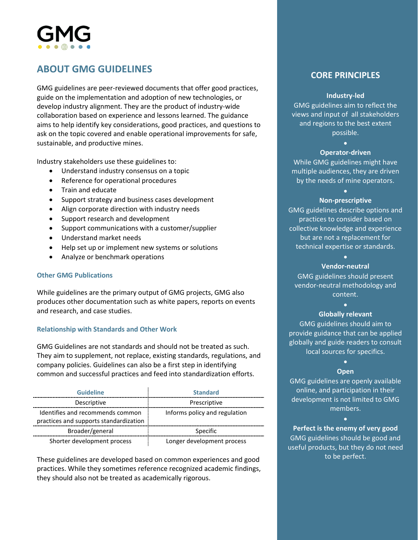# 

# **ABOUT GMG GUIDELINES**

GMG guidelines are peer-reviewed documents that offer good practices, guide on the implementation and adoption of new technologies, or develop industry alignment. They are the product of industry-wide collaboration based on experience and lessons learned. The guidance aims to help identify key considerations, good practices, and questions to ask on the topic covered and enable operational improvements for safe, sustainable, and productive mines.

Industry stakeholders use these guidelines to:

- Understand industry consensus on a topic
- Reference for operational procedures
- Train and educate
- Support strategy and business cases development
- Align corporate direction with industry needs
- Support research and development
- Support communications with a customer/supplier
- Understand market needs
- Help set up or implement new systems or solutions
- Analyze or benchmark operations

#### **Other GMG Publications**

While guidelines are the primary output of GMG projects, GMG also produces other documentation such as white papers, reports on events and research, and case studies.

## **Relationship with Standards and Other Work**

GMG Guidelines are not standards and should not be treated as such. They aim to supplement, not replace, existing standards, regulations, and company policies. Guidelines can also be a first step in identifying common and successful practices and feed into standardization efforts.

| <b>Guideline</b>                                                           | <b>Standard</b>               |
|----------------------------------------------------------------------------|-------------------------------|
| Descriptive                                                                | Prescriptive                  |
| Identifies and recommends common<br>practices and supports standardization | Informs policy and regulation |
| Broader/general                                                            | Specific                      |
| Shorter development process                                                | Longer development process    |

These guidelines are developed based on common experiences and good practices. While they sometimes reference recognized academic findings, they should also not be treated as academically rigorous.

# **CORE PRINCIPLES**

#### **Industry-led**

GMG guidelines aim to reflect the views and input of all stakeholders and regions to the best extent possible.

•

#### **Operator-driven**

While GMG guidelines might have multiple audiences, they are driven by the needs of mine operators.

## • **Non-prescriptive**

GMG guidelines describe options and practices to consider based on collective knowledge and experience but are not a replacement for technical expertise or standards.

## • **Vendor-neutral**

GMG guidelines should present vendor-neutral methodology and content.

#### • **Globally relevant**

GMG guidelines should aim to provide guidance that can be applied globally and guide readers to consult local sources for specifics.

#### • **Open**

GMG guidelines are openly available online, and participation in their development is not limited to GMG members.

•

**Perfect is the enemy of very good** GMG guidelines should be good and useful products, but they do not need to be perfect.